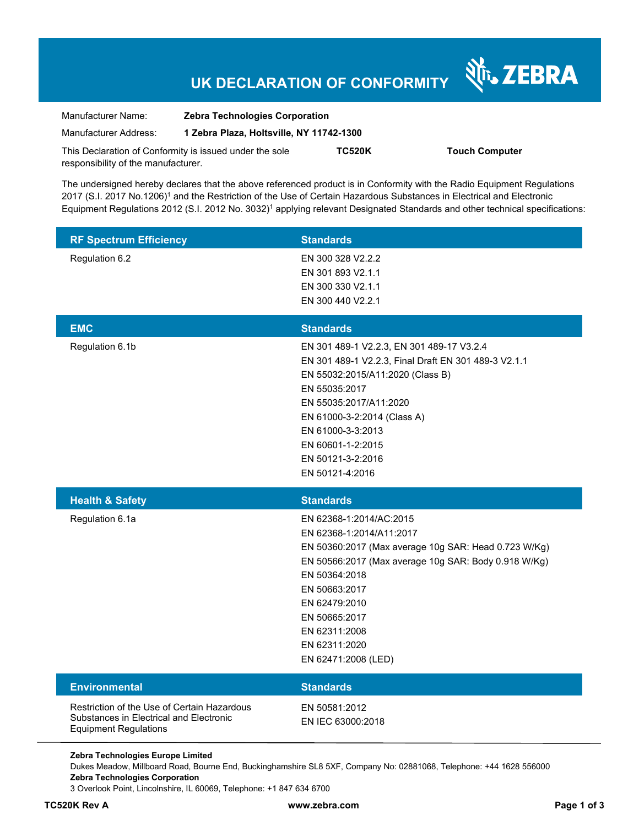# **UK DECLARATION OF CONFORMITY**

Nr. ZEBRA

| Manufacturer Name:                                      | <b>Zebra Technologies Corporation</b>    |               |                       |
|---------------------------------------------------------|------------------------------------------|---------------|-----------------------|
| Manufacturer Address:                                   | 1 Zebra Plaza, Holtsville, NY 11742-1300 |               |                       |
| This Declaration of Conformity is issued under the sole |                                          | <b>TC520K</b> | <b>Touch Computer</b> |
| responsibility of the manufacturer.                     |                                          |               |                       |

The undersigned hereby declares that the above referenced product is in Conformity with the Radio Equipment Regulations 2017 (S.I. 2017 No.1206)<sup>1</sup> and the Restriction of the Use of Certain Hazardous Substances in Electrical and Electronic Equipment Regulations 2012 (S.I. 2012 No. 3032)<sup>1</sup> applying relevant Designated Standards and other technical specifications:

| <b>RF Spectrum Efficiency</b>                                                                                          | <b>Standards</b>                                                                                                                                                                                                                                                                                  |
|------------------------------------------------------------------------------------------------------------------------|---------------------------------------------------------------------------------------------------------------------------------------------------------------------------------------------------------------------------------------------------------------------------------------------------|
| Regulation 6.2                                                                                                         | EN 300 328 V2.2.2<br>EN 301 893 V2.1.1<br>EN 300 330 V2.1.1<br>EN 300 440 V2.2.1                                                                                                                                                                                                                  |
| <b>EMC</b>                                                                                                             | <b>Standards</b>                                                                                                                                                                                                                                                                                  |
| Regulation 6.1b                                                                                                        | EN 301 489-1 V2.2.3, EN 301 489-17 V3.2.4<br>EN 301 489-1 V2.2.3, Final Draft EN 301 489-3 V2.1.1<br>EN 55032:2015/A11:2020 (Class B)<br>EN 55035:2017<br>EN 55035:2017/A11:2020<br>EN 61000-3-2:2014 (Class A)<br>EN 61000-3-3:2013<br>EN 60601-1-2:2015<br>EN 50121-3-2:2016<br>EN 50121-4:2016 |
|                                                                                                                        |                                                                                                                                                                                                                                                                                                   |
| <b>Health &amp; Safety</b>                                                                                             | <b>Standards</b>                                                                                                                                                                                                                                                                                  |
| Regulation 6.1a                                                                                                        | EN 62368-1:2014/AC:2015<br>EN 62368-1:2014/A11:2017<br>EN 50360:2017 (Max average 10g SAR: Head 0.723 W/Kg)<br>EN 50566:2017 (Max average 10g SAR: Body 0.918 W/Kg)<br>EN 50364:2018<br>EN 50663:2017<br>EN 62479:2010<br>EN 50665:2017<br>EN 62311:2008<br>EN 62311:2020<br>EN 62471:2008 (LED)  |
| <b>Environmental</b>                                                                                                   | <b>Standards</b>                                                                                                                                                                                                                                                                                  |
| Restriction of the Use of Certain Hazardous<br>Substances in Electrical and Electronic<br><b>Equipment Regulations</b> | EN 50581:2012<br>EN IEC 63000:2018                                                                                                                                                                                                                                                                |

Dukes Meadow, Millboard Road, Bourne End, Buckinghamshire SL8 5XF, Company No: 02881068, Telephone: +44 1628 556000 **Zebra Technologies Corporation** 

3 Overlook Point, Lincolnshire, IL 60069, Telephone: +1 847 634 6700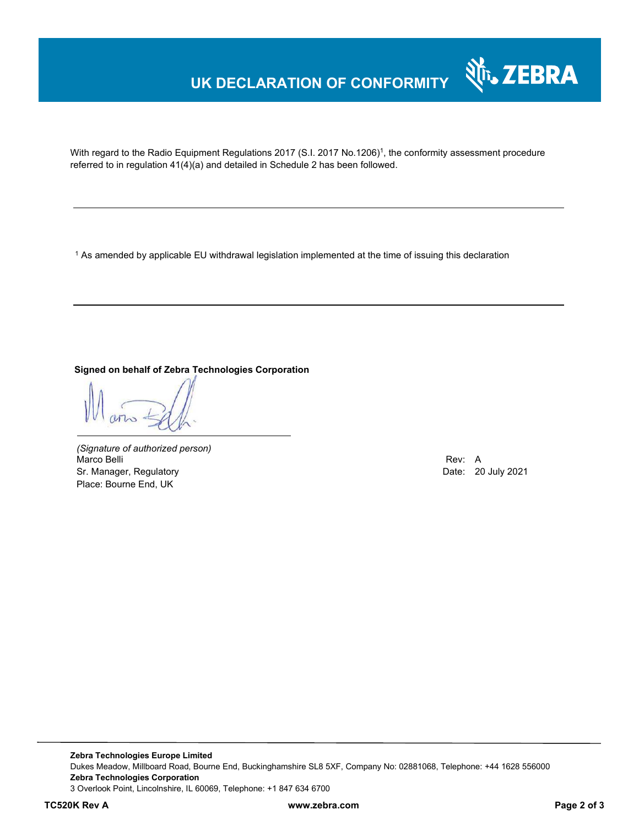## **UK DECLARATION OF CONFORMITY**



With regard to the Radio Equipment Regulations 2017 (S.I. 2017 No.1206)<sup>1</sup>, the conformity assessment procedure referred to in regulation 41(4)(a) and detailed in Schedule 2 has been followed.

 $^{\rm 1}$  As amended by applicable EU withdrawal legislation implemented at the time of issuing this declaration

**Signed on behalf of Zebra Technologies Corporation** 

*(Signature of authorized person)* Marco Belli Rev: A Sr. Manager, Regulatory **Date: 20 July 2021** Place: Bourne End, UK

**Zebra Technologies Europe Limited**  Dukes Meadow, Millboard Road, Bourne End, Buckinghamshire SL8 5XF, Company No: 02881068, Telephone: +44 1628 556000 **Zebra Technologies Corporation**  3 Overlook Point, Lincolnshire, IL 60069, Telephone: +1 847 634 6700